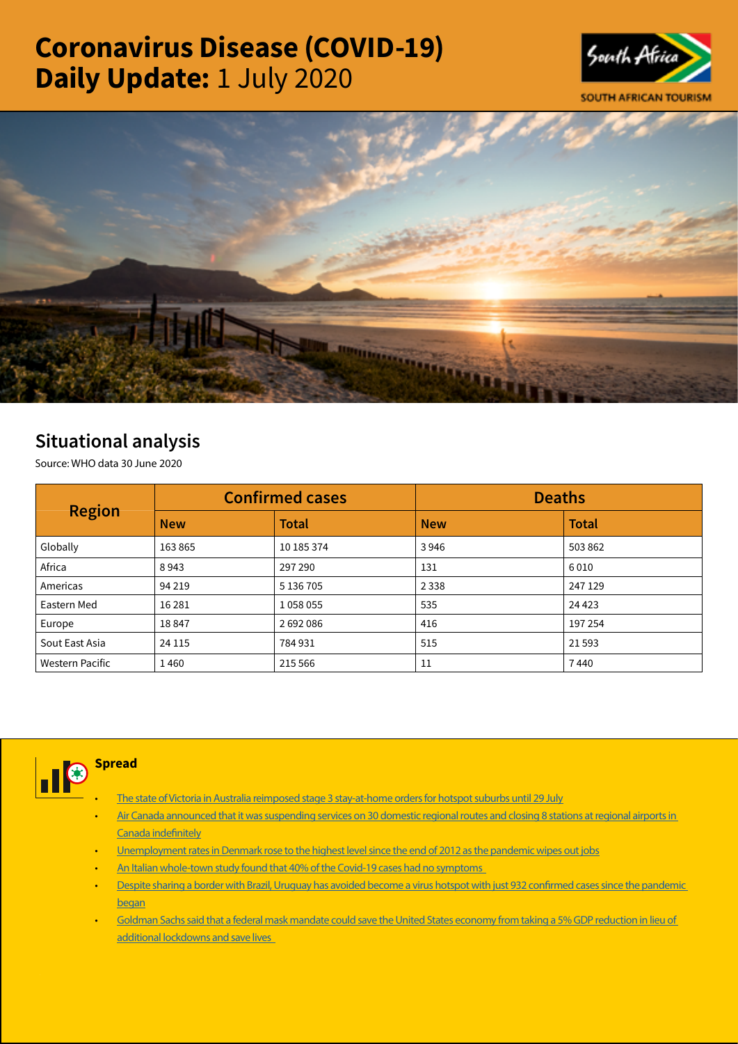# Coronavirus Disease (COVID-19) Daily Update: 1 July 2020





## Situational analysis

Source: WHO data 30 June 2020

| <b>Region</b>   |            | <b>Confirmed cases</b> | <b>Deaths</b> |              |  |
|-----------------|------------|------------------------|---------------|--------------|--|
|                 | <b>New</b> | <b>Total</b>           | <b>New</b>    | <b>Total</b> |  |
| Globally        | 163865     | 10 185 374             | 3946          | 503 862      |  |
| Africa          | 8943       | 297 290                | 131           | 6010         |  |
| Americas        | 94 2 19    | 5 136 705              | 2 3 3 8       | 247 129      |  |
| Eastern Med     | 16 2 8 1   | 1058055                | 535           | 24 4 23      |  |
| Europe          | 18847      | 2692086                | 416           | 197 254      |  |
| Sout East Asia  | 24 1 15    | 784931                 | 515           | 21593        |  |
| Western Pacific | 1460       | 215 566                | 11            | 7440         |  |



### **Spread**

- [The state of Victoria in Australia reimposed stage 3 stay-at-home orders for hotspot suburbs until 29 July](https://t.co/lKierw1Jvv?amp=1)
- Air Canada announced that it was suspending services on 30 domestic regional routes and closing 8 stations at regional airports in [Canada indefinitely](https://is.gd/HaU3Be)
- [Unemployment rates in Denmark rose to the highest level since the end of 2012 as the pandemic wipes out jobs](https://t.co/JgYrY6PCpf?amp=1)
- An Italian whole-town study found that 40% of the Covid-19 cases had no symptoms
- [Despite sharing a border with Brazil, Uruguay has avoided become a virus hotspot with just 932 confirmed cases since the pandemic](https://t.co/pZEzr6TrZF?amp=1)  [began](https://t.co/pZEzr6TrZF?amp=1)
- [Goldman Sachs said that a federal mask mandate could save the United States economy from taking a 5% GDP reduction in lieu of](https://t.co/IOKOO3Kj2l?amp=1)  [additional lockdowns and save lives](https://t.co/IOKOO3Kj2l?amp=1)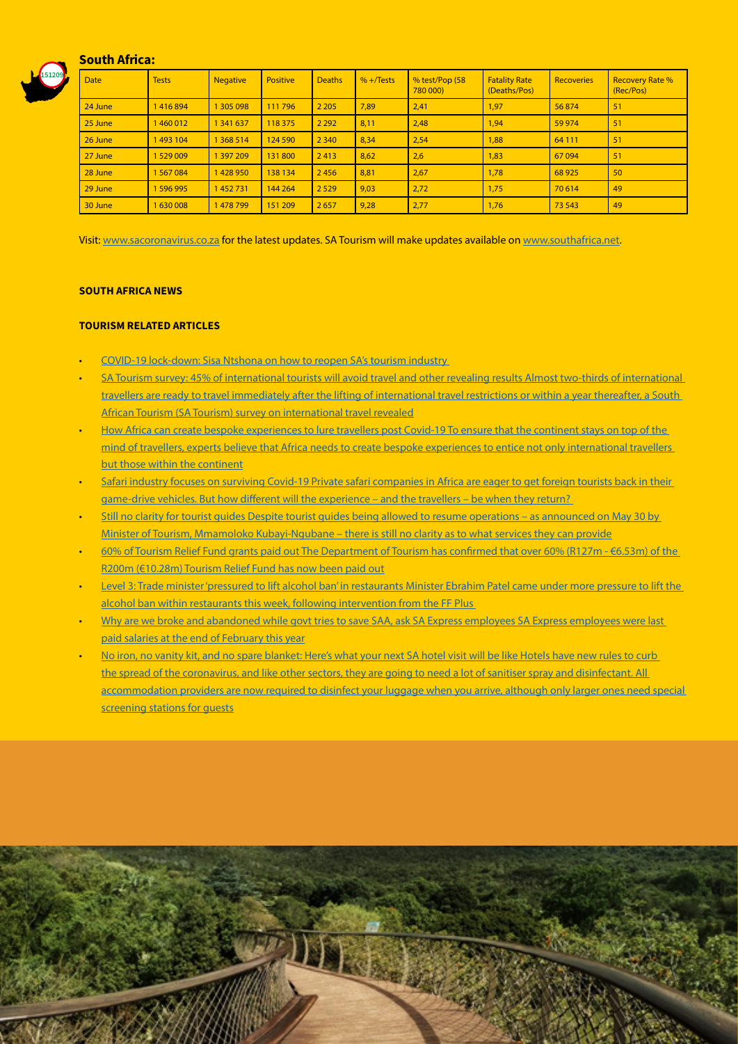

#### South Africa:

| <b>Date</b> | <b>Tests</b> | <b>Negative</b> | <b>Positive</b> | <b>Deaths</b> | $% +$ Tests | % test/Pop (58<br>780 000) | <b>Fatality Rate</b><br>(Deaths/Pos) | <b>Recoveries</b> | <b>Recovery Rate %</b><br>(Rec/Pos) |
|-------------|--------------|-----------------|-----------------|---------------|-------------|----------------------------|--------------------------------------|-------------------|-------------------------------------|
| 24 June     | 1416894      | 1 305 098       | 111 796         | 2 2 0 5       | 7,89        | 2,41                       | 1,97                                 | 56874             | 51                                  |
| 25 June     | 1460012      | 1 341 637       | 118 375         | 2 2 9 2       | 8,11        | 2,48                       | 1,94                                 | 59 974            | 51                                  |
| 26 June     | 1493 104     | 1 368 514       | 124 590         | 2 3 4 0       | 8,34        | 2,54                       | 1,88                                 | 64 111            | 51                                  |
| 27 June     | 1529009      | 1 397 209       | 131800          | 2413          | 8,62        | 2,6                        | 1,83                                 | 67094             | 51                                  |
| 28 June     | 1567084      | 1428950         | 138 134         | 2456          | 8,81        | 2,67                       | 1,78                                 | 68 9 25           | 50                                  |
| 29 June     | 1596995      | 1452731         | 144 264         | 2 5 2 9       | 9,03        | 2,72                       | 1,75                                 | 70 614            | 49                                  |
| 30 June     | 1630008      | 1478799         | 151 209         | 2657          | 9,28        | 2,77                       | 1,76                                 | 73 543            | 49                                  |

Visit: [www.sacoronavirus.co.za](http://www.sacoronavirus.co.za) for the latest updates. SA Tourism will make updates available on [www.southafrica.net.](http://www.southafrica.net)

#### SOUTH AFRICA NEWS

#### TOURISM RELATED ARTICLES

- [COVID-19 lock-down: Sisa Ntshona on how to reopen SA's tourism industry](https://www.cnbcafrica.com/videos/2020/06/29/covid-19-lock-down-sisa-ntshona-on-how-to-reopen-sas-tourism-industry/)
- [SA Tourism survey: 45% of international tourists will avoid travel and other revealing results Almost two-thirds of international](https://www.iol.co.za/travel/travel-news/sa-tourism-survey-45-of-international-tourists-will-avoid-travel-and-other-revealing-results-50142864)  [travellers are ready to travel immediately after the lifting of international travel restrictions or within a year thereafter, a South](https://www.iol.co.za/travel/travel-news/sa-tourism-survey-45-of-international-tourists-will-avoid-travel-and-other-revealing-results-50142864)  [African Tourism \(SA Tourism\) survey on international travel revealed](https://www.iol.co.za/travel/travel-news/sa-tourism-survey-45-of-international-tourists-will-avoid-travel-and-other-revealing-results-50142864)
- [How Africa can create bespoke experiences to lure travellers post Covid-19 To ensure that the continent stays on top of the](https://www.iol.co.za/travel/africa/how-africa-can-create-bespoke-experiences-to-lure-travellers-post-covid-19-50145504)  [mind of travellers, experts believe that Africa needs to create bespoke experiences to entice not only international travellers](https://www.iol.co.za/travel/africa/how-africa-can-create-bespoke-experiences-to-lure-travellers-post-covid-19-50145504)  [but those within the continent](https://www.iol.co.za/travel/africa/how-africa-can-create-bespoke-experiences-to-lure-travellers-post-covid-19-50145504)
- Safari industry focuses on surviving Covid-19 Private safari companies in Africa are eager to get foreign tourists back in their game-drive vehicles. But how different will the experience – and the travellers – be when they return?
- Still no clarity for tourist guides Despite tourist guides being allowed to resume operations as announced on May 30 by [Minister of Tourism, Mmamoloko Kubayi-Ngubane – there is still no clarity as to what services they can provide](http://www.tourismupdate.co.za/article/199724/Still-no-clarity-for-tourist-guides)
- [60% of Tourism Relief Fund grants paid out The Department of Tourism has confirmed that over 60% \(R127m €6.53m\) of the](http://www.tourismupdate.co.za/article/199723/60-of-Tourism-Relief-Fund-grants-paid-out)  [R200m \(€10.28m\) Tourism Relief Fund has now been paid out](http://www.tourismupdate.co.za/article/199723/60-of-Tourism-Relief-Fund-grants-paid-out)
- [Level 3: Trade minister 'pressured to lift alcohol ban' in restaurants Minister Ebrahim Patel came under more pressure to lift the](https://www.thesouthafrican.com/news/can-alcohol-be-served-restaurants-level-3-ff-plus-support/)  alcohol ban within restaurants this week, following intervention from the FF Plus
- Why are we broke and abandoned while govt tries to save SAA, ask SA Express employees SA Express employees were last [paid salaries at the end of February this year](https://www.news24.com/fin24/companies/industrial/why-are-we-broke-and-abandoned-while-govt-tries-to-save-saa-ask-sa-express-employees-20200630)
- [No iron, no vanity kit, and no spare blanket: Here's what your next SA hotel visit will be like Hotels have new rules to curb](https://www.businessinsider.co.za/travel/rules-for-sa-hotels-call-for-disinfected-luggage-lots-of-venitlation-and-empty-dorm-rooms-2020-6)  the spread of the coronavirus, and like other sectors, they are going to need a lot of sanitiser spray and disinfectant. All accommodation providers are now required to disinfect your luggage when you arrive, although only larger ones need special screening stations for quests